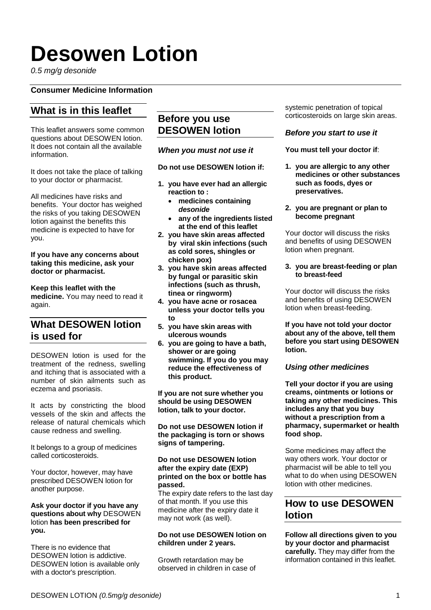# **Desowen Lotion**

*0.5 mg/g desonide*

# **Consumer Medicine Information**

# **What is in this leaflet**

This leaflet answers some common questions about DESOWEN lotion. It does not contain all the available information.

It does not take the place of talking to your doctor or pharmacist.

All medicines have risks and benefits. Your doctor has weighed the risks of you taking DESOWEN lotion against the benefits this medicine is expected to have for you.

#### **If you have any concerns about taking this medicine, ask your doctor or pharmacist.**

**Keep this leaflet with the medicine.** You may need to read it again.

# **What DESOWEN lotion is used for**

DESOWEN lotion is used for the treatment of the redness, swelling and itching that is associated with a number of skin ailments such as eczema and psoriasis.

It acts by constricting the blood vessels of the skin and affects the release of natural chemicals which cause redness and swelling.

It belongs to a group of medicines called corticosteroids.

Your doctor, however, may have prescribed DESOWEN lotion for another purpose.

#### **Ask your doctor if you have any questions about why** DESOWEN lotion **has been prescribed for you.**

There is no evidence that DESOWEN lotion is addictive. DESOWEN lotion is available only with a doctor's prescription.

# **Before you use DESOWEN lotion**

*When you must not use it*

**Do not use DESOWEN lotion if:**

- **1. you have ever had an allergic reaction to :**
	- **medicines containing**  *desonide*
	- **any of the ingredients listed at the end of this leaflet**
- **2. you have skin areas affected by viral skin infections (such as cold sores, shingles or chicken pox)**
- **3. you have skin areas affected by fungal or parasitic skin infections (such as thrush, tinea or ringworm)**
- **4. you have acne or rosacea unless your doctor tells you to**
- **5. you have skin areas with ulcerous wounds**
- **6. you are going to have a bath, shower or are going swimming. If you do you may reduce the effectiveness of this product.**

**If you are not sure whether you should be using DESOWEN lotion, talk to your doctor.**

**Do not use DESOWEN lotion if the packaging is torn or shows signs of tampering.**

#### **Do not use DESOWEN lotion after the expiry date (EXP) printed on the box or bottle has passed.**

The expiry date refers to the last day of that month. If you use this medicine after the expiry date it may not work (as well).

## **Do not use DESOWEN lotion on children under 2 years.**

Growth retardation may be observed in children in case of

systemic penetration of topical corticosteroids on large skin areas.

# *Before you start to use it*

**You must tell your doctor if**:

- **1. you are allergic to any other medicines or other substances such as foods, dyes or preservatives.**
- **2. you are pregnant or plan to become pregnant**

Your doctor will discuss the risks and benefits of using DESOWEN lotion when pregnant.

#### **3. you are breast-feeding or plan to breast-feed**

Your doctor will discuss the risks and benefits of using DESOWEN lotion when breast-feeding.

**If you have not told your doctor about any of the above, tell them before you start using DESOWEN lotion.**

# *Using other medicines*

**Tell your doctor if you are using creams, ointments or lotions or taking any other medicines. This includes any that you buy without a prescription from a pharmacy, supermarket or health food shop.**

Some medicines may affect the way others work. Your doctor or pharmacist will be able to tell you what to do when using DESOWEN lotion with other medicines.

# **How to use DESOWEN lotion**

**Follow all directions given to you by your doctor and pharmacist carefully.** They may differ from the information contained in this leaflet.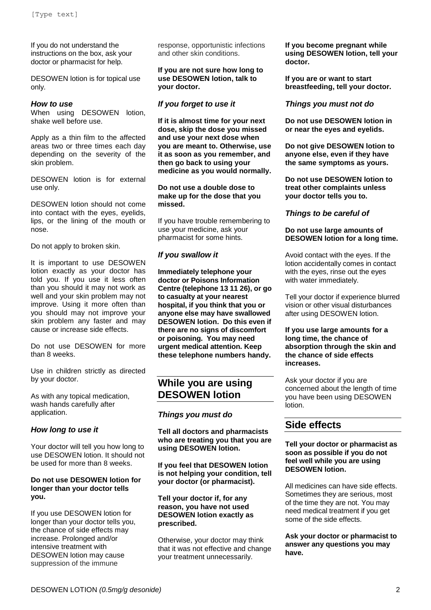If you do not understand the instructions on the box, ask your doctor or pharmacist for help.

DESOWEN lotion is for topical use only.

#### *How to use*

When using DESOWEN lotion, shake well before use.

Apply as a thin film to the affected areas two or three times each day depending on the severity of the skin problem.

DESOWEN lotion is for external use only.

DESOWEN lotion should not come into contact with the eyes, eyelids, lips, or the lining of the mouth or nose.

Do not apply to broken skin.

It is important to use DESOWEN lotion exactly as your doctor has told you. If you use it less often than you should it may not work as well and your skin problem may not improve. Using it more often than you should may not improve your skin problem any faster and may cause or increase side effects.

Do not use DESOWEN for more than 8 weeks.

Use in children strictly as directed by your doctor.

As with any topical medication, wash hands carefully after application.

## *How long to use it*

Your doctor will tell you how long to use DESOWEN lotion. It should not be used for more than 8 weeks.

#### **Do not use DESOWEN lotion for longer than your doctor tells you.**

If you use DESOWEN lotion for longer than your doctor tells you, the chance of side effects may increase. Prolonged and/or intensive treatment with DESOWEN lotion may cause suppression of the immune

response, opportunistic infections and other skin conditions.

**If you are not sure how long to use DESOWEN lotion, talk to your doctor.**

## *If you forget to use it*

**If it is almost time for your next dose, skip the dose you missed and use your next dose when you are meant to. Otherwise, use it as soon as you remember, and then go back to using your medicine as you would normally.**

**Do not use a double dose to make up for the dose that you missed.**

If you have trouble remembering to use your medicine, ask your pharmacist for some hints.

## *If you swallow it*

**Immediately telephone your doctor or Poisons Information Centre (telephone 13 11 26), or go to casualty at your nearest hospital, if you think that you or anyone else may have swallowed DESOWEN lotion. Do this even if there are no signs of discomfort or poisoning. You may need urgent medical attention. Keep these telephone numbers handy.**

# **While you are using DESOWEN lotion**

# *Things you must do*

**Tell all doctors and pharmacists who are treating you that you are using DESOWEN lotion.**

**If you feel that DESOWEN lotion is not helping your condition, tell your doctor (or pharmacist).**

#### **Tell your doctor if, for any reason, you have not used DESOWEN lotion exactly as prescribed.**

Otherwise, your doctor may think that it was not effective and change your treatment unnecessarily.

**If you become pregnant while using DESOWEN lotion, tell your doctor.**

**If you are or want to start breastfeeding, tell your doctor.**

## *Things you must not do*

**Do not use DESOWEN lotion in or near the eyes and eyelids.**

**Do not give DESOWEN lotion to anyone else, even if they have the same symptoms as yours.**

**Do not use DESOWEN lotion to treat other complaints unless your doctor tells you to.**

## *Things to be careful of*

#### **Do not use large amounts of DESOWEN lotion for a long time.**

Avoid contact with the eyes. If the lotion accidentally comes in contact with the eyes, rinse out the eyes with water immediately.

Tell your doctor if experience blurred vision or other visual disturbances after using DESOWEN lotion.

#### **If you use large amounts for a long time, the chance of absorption through the skin and the chance of side effects increases.**

Ask your doctor if you are concerned about the length of time you have been using DESOWEN lotion.

# **Side effects**

#### **Tell your doctor or pharmacist as soon as possible if you do not feel well while you are using DESOWEN lotion.**

All medicines can have side effects. Sometimes they are serious, most of the time they are not. You may need medical treatment if you get some of the side effects.

**Ask your doctor or pharmacist to answer any questions you may have.**